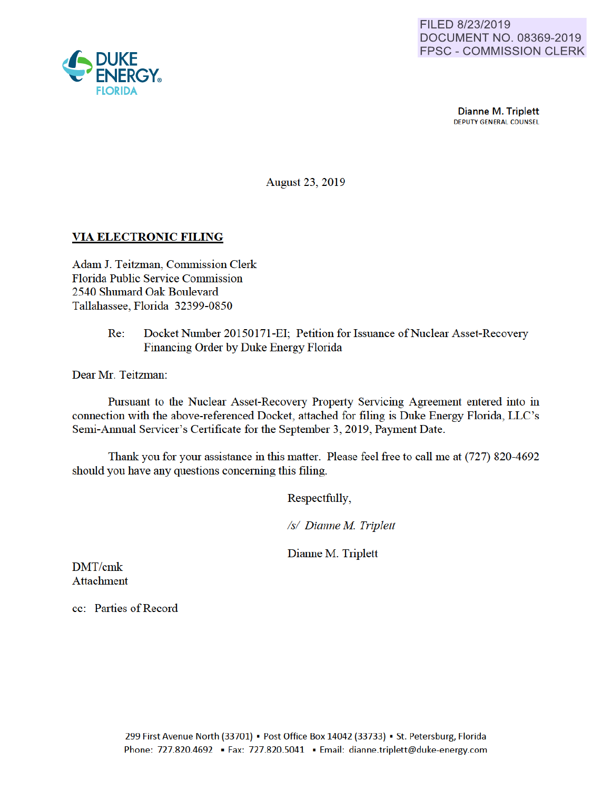

**Dianne M. Triplett**<br>DEPUTY GENERAL COUNSEL

August 23, 2019

## VIA ELECTRONIC FILING

Adam J. Teitzman, Commission Clerk Florida Public Service Commission 2540 Shumard Oak Boulevard Tallahassee, Florida 32399-0850

> Re: Docket Number 20150171-EI; Petition for Issuance of Nuclear Asset-Recovery Financing Order by Duke Energy Florida

Dear Mr. Teitzman:

Pursuant to the Nuclear Asset-Recovery Property Servicing Agreement entered into in connection with the above-referenced Docket, attached for filing is Duke Energy Florida, LLC 's Semi-Annual Servicer's Certificate for the September 3, 2019, Payment Date.

Thank you for your assistance in this matter. Please feel free to call me at (727) 820-4692 should you have any questions conceming this filing.

Respectfully,

*Is/ Dianne M Triplett* 

Dianne M. Triplett

DMT/cmk Attachment

cc: Patties of Record

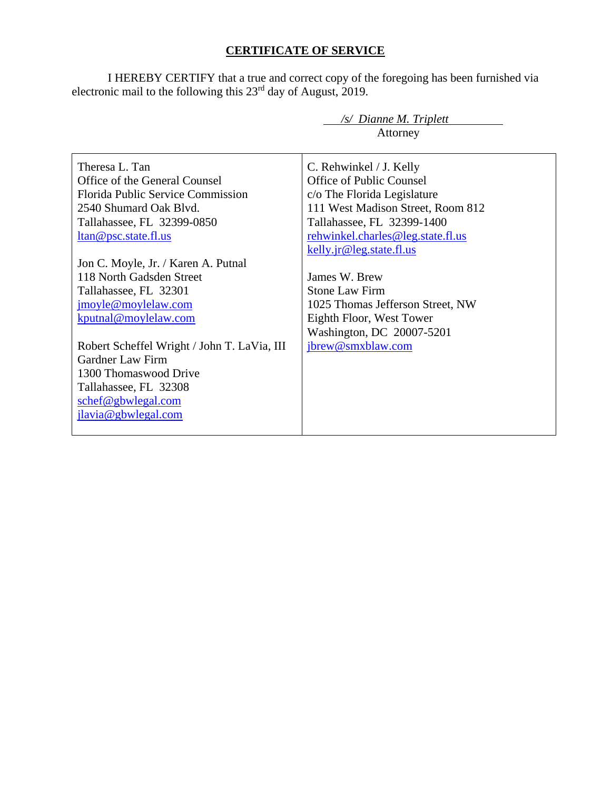## **CERTIFICATE OF SERVICE**

I HEREBY CERTIFY that a true and correct copy of the foregoing has been furnished via electronic mail to the following this  $23<sup>rd</sup>$  day of August, 2019.

|                                             | /s/ Dianne M. Triplett            |
|---------------------------------------------|-----------------------------------|
|                                             | Attorney                          |
|                                             |                                   |
| Theresa L. Tan                              | C. Rehwinkel / J. Kelly           |
| Office of the General Counsel               | Office of Public Counsel          |
| <b>Florida Public Service Commission</b>    | c/o The Florida Legislature       |
| 2540 Shumard Oak Blyd.                      | 111 West Madison Street, Room 812 |
| Tallahassee, FL 32399-0850                  | Tallahassee, FL 32399-1400        |
| ltan@psc.state.fl.us                        | rehwinkel.charles@leg.state.fl.us |
|                                             | kelly.jr@leg.state.fl.us          |
| Jon C. Moyle, Jr. / Karen A. Putnal         |                                   |
| 118 North Gadsden Street                    | James W. Brew                     |
| Tallahassee, FL 32301                       | <b>Stone Law Firm</b>             |
| jmoyle@moylelaw.com                         | 1025 Thomas Jefferson Street, NW  |
| kputnal@moylelaw.com                        | Eighth Floor, West Tower          |
|                                             | Washington, DC 20007-5201         |
| Robert Scheffel Wright / John T. LaVia, III | jbrew@smxblaw.com                 |
| <b>Gardner Law Firm</b>                     |                                   |
| 1300 Thomaswood Drive                       |                                   |
| Tallahassee, FL 32308                       |                                   |
| schef@gbwlegal.com                          |                                   |
| jlavia@gbwlegal.com                         |                                   |
|                                             |                                   |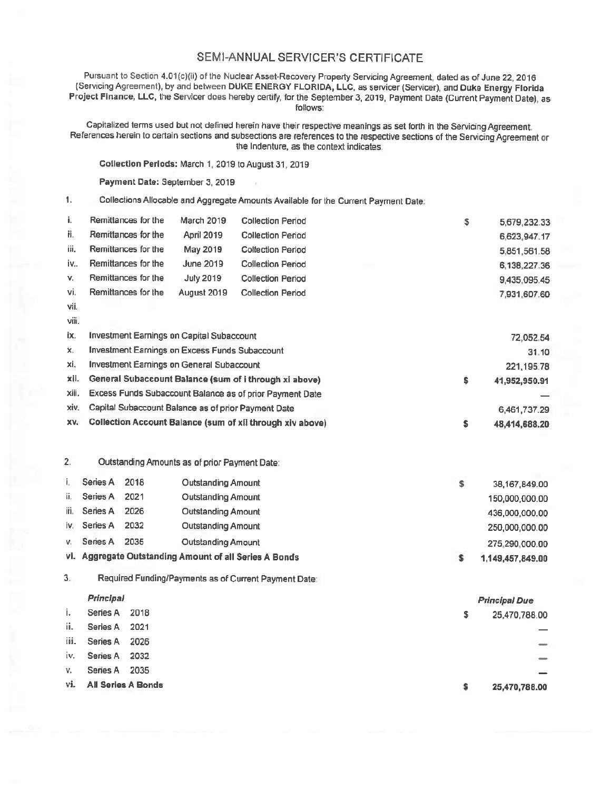## SEMI-ANNUAL SERVICER'S CERTIFICATE

Pursuant to Section 4.01(c)(ii) of the Nuclear Asset-Recovery Property Servicing Agreement dated as of June 22. 2016 (Servicing Agreement), by and between DUKE ENERGY FLORIDA, LLC, as servicer (Servicer), and Duke Energy Florida Project Finance, LLC, the Servicer does hereby certify, for the September 3, 2019, Payment Date (Current Payment Date), as follows:

Capitatized terms used but not defined herein have their respective meanings as set forth in the Servicing Agreement. References herein to certain sections and subsections are references to the respective sections of the Servicing Agreement or the Indenture, as the context indicates

Collection Periods: March 1, 2019 to August 31, 2019

Payment Date: September 3, 2019

1. Collections Allocable and Aggregate Amounts Available for the Current Payment Date.

| i.    | Remittances for the                                    | <b>March 2019</b> | <b>Collection Period</b>                                  |    | S             | 5,679,232.33  |
|-------|--------------------------------------------------------|-------------------|-----------------------------------------------------------|----|---------------|---------------|
| Ħ.    | Remittances for the                                    | April 2019        | <b>Collection Period</b>                                  |    |               | 6,623,947.17  |
| iii.  | Remittances for the                                    | May 2019          | <b>Collection Period</b>                                  |    |               | 5,851,561.58  |
| iv    | Remittances for the                                    | June 2019         | <b>Collection Period</b>                                  |    |               | 6,138,227.36  |
| V.    | Remittances for the                                    | <b>July 2019</b>  | <b>Collection Period</b>                                  |    |               | 9,435,095.45  |
| Vi.   | Remittances for the                                    | August 2019       | <b>Collection Period</b>                                  |    |               | 7,931,607.60  |
| vii.  |                                                        |                   |                                                           |    |               |               |
| viii. |                                                        |                   |                                                           |    |               |               |
| iх.   | Investment Earnings on Capital Subaccount              |                   |                                                           |    |               | 72,052.54     |
| х.    | Investment Earnings on Excess Funds Subaccount         |                   |                                                           |    |               | 31.10         |
| xi.   | Investment Earnings on General Subaccount              |                   |                                                           |    |               | 221, 195.78   |
| xii.  | General Subaccount Balance (sum of i through xi above) |                   |                                                           | \$ | 41,952,950.91 |               |
| xiii. |                                                        |                   | Excess Funds Subaccount Balance as of prior Payment Date  |    |               |               |
| xiv.  | Capital Subaccount Balance as of prior Payment Date    |                   |                                                           |    |               | 6,461,737.29  |
| XV.   |                                                        |                   | Collection Account Balance (sum of xil through xiv above) |    | \$            | 48,414,688.20 |
|       |                                                        |                   |                                                           |    |               |               |
| 2.    | Outstanding Amounts as of prior Payment Date:          |                   |                                                           |    |               |               |

|      |              |      | vi. Aggregate Outstanding Amount of all Series A Bonds | 1,149,457,849.00 |
|------|--------------|------|--------------------------------------------------------|------------------|
| V.   | Series A     | 2035 | Outstanding Amount                                     | 275,290,000.00   |
|      | iv. Series A | 2032 | Outstanding Amount                                     | 250,000,000.00   |
| iii. | Series A     | 2026 | Outstanding Amount                                     | 436,000,000.00   |
| ii.  | Series A     | 2021 | Outstanding Amount                                     | 150,000,000.00   |
|      | Series A     | 2018 | Outstanding Amount                                     | 38,167,849.00    |

3 Required Funding/Payments as of Current Payment Date

## Principal

| ı., | Series A 2018          | \$ | 25,470,788.00                                                                                                                                                                                                                                                                                                                                                                                                                                                              |
|-----|------------------------|----|----------------------------------------------------------------------------------------------------------------------------------------------------------------------------------------------------------------------------------------------------------------------------------------------------------------------------------------------------------------------------------------------------------------------------------------------------------------------------|
| ii. | Series A 2021          |    |                                                                                                                                                                                                                                                                                                                                                                                                                                                                            |
|     | iii. Series A 2026     |    | $\frac{1}{2} \left( \frac{1}{2} \right) \left( \frac{1}{2} \right) \left( \frac{1}{2} \right) \left( \frac{1}{2} \right) \left( \frac{1}{2} \right) \left( \frac{1}{2} \right) \left( \frac{1}{2} \right) \left( \frac{1}{2} \right) \left( \frac{1}{2} \right) \left( \frac{1}{2} \right) \left( \frac{1}{2} \right) \left( \frac{1}{2} \right) \left( \frac{1}{2} \right) \left( \frac{1}{2} \right) \left( \frac{1}{2} \right) \left( \frac{1}{2} \right) \left( \frac$ |
|     | iv. Series A 2032      |    |                                                                                                                                                                                                                                                                                                                                                                                                                                                                            |
| v.  | Series A 2035          |    |                                                                                                                                                                                                                                                                                                                                                                                                                                                                            |
|     | vi. All Series A Bonds |    | 25,470,788.00                                                                                                                                                                                                                                                                                                                                                                                                                                                              |

Principal Due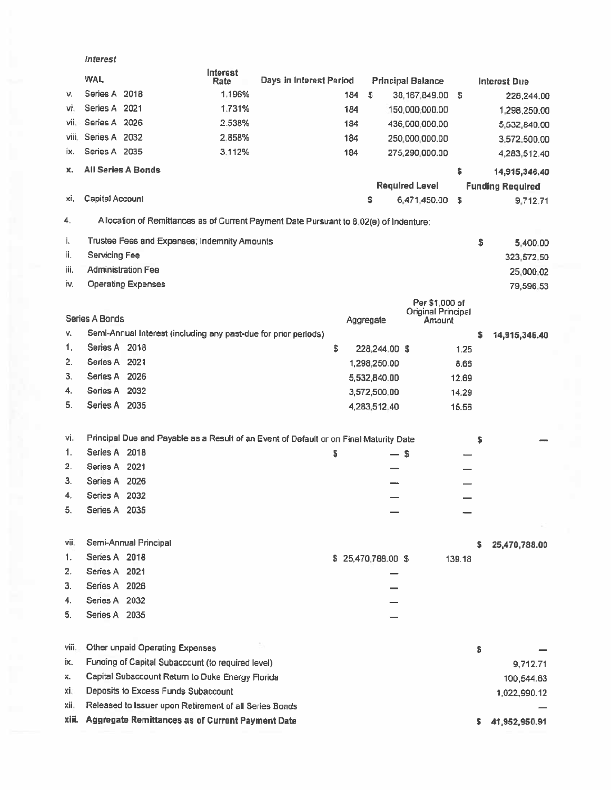|       | Interest                                                                               |                  |                         |     |                          |                              |        |    |                         |
|-------|----------------------------------------------------------------------------------------|------------------|-------------------------|-----|--------------------------|------------------------------|--------|----|-------------------------|
|       | <b>WAL</b>                                                                             | Interest<br>Rate | Days in Interest Period |     |                          | <b>Principal Balance</b>     |        |    | <b>Interest Due</b>     |
| V.    | Series A 2018                                                                          | 1.196%           |                         | 184 | S                        | 38,167,849.00 \$             |        |    | 228,244.00              |
| vi.   | Series A 2021                                                                          | 1.731%           |                         | 184 |                          | 150,000,000.00               |        |    | 1,298,250.00            |
| vii.  | Series A 2026                                                                          | 2.538%           |                         | 184 |                          | 436,000,000.00               |        |    | 5,532,840.00            |
| Viii. | Series A 2032                                                                          | 2.858%           |                         | 184 |                          | 250,000,000.00               |        |    | 3,572,500.00            |
| ix.   | Series A 2035                                                                          | 3.112%           |                         | 184 |                          | 275,290,000.00               |        |    | 4,283,512.40            |
| x.    | All Series A Bonds                                                                     |                  |                         |     |                          |                              | \$     |    | 14,915,346.40           |
|       |                                                                                        |                  |                         |     |                          | <b>Required Level</b>        |        |    | <b>Funding Required</b> |
| xi.   | Capital Account                                                                        |                  |                         |     | \$                       | 6,471,450.00                 | \$     |    | 9,712.71                |
| 4.    | Allocation of Remittances as of Current Payment Date Pursuant to 8.02(e) of Indenture: |                  |                         |     |                          |                              |        |    |                         |
| i.    | Trustee Fees and Expenses; Indemnity Amounts                                           |                  |                         |     |                          |                              |        | \$ | 5,400.00                |
| ii.   | Servicing Fee                                                                          |                  |                         |     |                          |                              |        |    | 323,572.50              |
| iii.  | <b>Administration Fee</b>                                                              |                  |                         |     |                          |                              |        |    | 25,000.02               |
| İV.   | <b>Operating Expenses</b>                                                              |                  |                         |     |                          |                              |        |    | 79,596,53               |
|       |                                                                                        |                  |                         |     |                          | Per \$1,000 of               |        |    |                         |
|       | Series A Bonds                                                                         |                  |                         |     | Aggregate                | Original Principal<br>Amount |        |    |                         |
| ٧.    | Semi-Annual Interest (including any past-due for prior periods)                        |                  |                         |     |                          |                              |        | \$ | 14,915,346.40           |
| 1.    | Series A 2018                                                                          |                  |                         | \$  | 228,244.00 \$            |                              | 1.25   |    |                         |
| 2.    | Series A 2021                                                                          |                  |                         |     | 1,298,250.00             |                              | 8.66   |    |                         |
| З.    | Series A 2026                                                                          |                  |                         |     | 5,532,840.00             |                              | 12.69  |    |                         |
| 4.    | Series A 2032                                                                          |                  |                         |     | 3,572,500.00             |                              | 14.29  |    |                         |
| 5.    | Series A 2035                                                                          |                  |                         |     | 4,283,512.40             |                              | 15.56  |    |                         |
|       |                                                                                        |                  |                         |     |                          |                              |        |    |                         |
| vi.   | Principal Due and Payable as a Result of an Event of Default or on Final Maturity Date |                  |                         |     |                          |                              |        | s  |                         |
| 1.    | Series A 2018                                                                          |                  |                         | s   | $\overline{\phantom{0}}$ | \$                           |        |    |                         |
| 2.    | Series A 2021                                                                          |                  |                         |     |                          |                              |        |    |                         |
| 3.    | Series A 2026                                                                          |                  |                         |     |                          |                              |        |    |                         |
| 4.    | Series A 2032                                                                          |                  |                         |     |                          |                              |        |    |                         |
| 5.    | Series A 2035                                                                          |                  |                         |     |                          |                              |        |    |                         |
|       |                                                                                        |                  |                         |     |                          |                              |        |    |                         |
| vii.  | Semi-Annual Principal                                                                  |                  |                         |     |                          |                              |        | s  | 25,470,788.00           |
| 1.    | Series A 2018                                                                          |                  |                         |     | \$ 25,470,788.00 \$      |                              | 139.18 |    |                         |
| 2.    | Series A 2021                                                                          |                  |                         |     |                          |                              |        |    |                         |
| З.    | Series A 2026                                                                          |                  |                         |     |                          |                              |        |    |                         |
| 4.    | Series A 2032                                                                          |                  |                         |     |                          |                              |        |    |                         |
| 5.    | Series A 2035                                                                          |                  |                         |     |                          |                              |        |    |                         |
|       |                                                                                        |                  |                         |     |                          |                              |        |    |                         |
| Viii. | Other unpaid Operating Expenses                                                        |                  |                         |     |                          |                              |        | s  |                         |
| İΧ.   | Funding of Capital Subaccount (to required level)                                      |                  |                         |     |                          |                              |        |    | 9,712.71                |
| x.    | Capital Subaccount Return to Duke Energy Florida                                       |                  |                         |     |                          |                              |        |    | 100,544.63              |
| xi.   | Deposits to Excess Funds Subaccount                                                    |                  |                         |     |                          |                              |        |    | 1,022,990.12            |
| xii.  | Released to Issuer upon Retirement of all Series Bonds                                 |                  |                         |     |                          |                              |        |    |                         |
| xiii. | Aggregate Remittances as of Current Payment Date                                       |                  |                         |     |                          |                              |        | s  | 41,952,950.91           |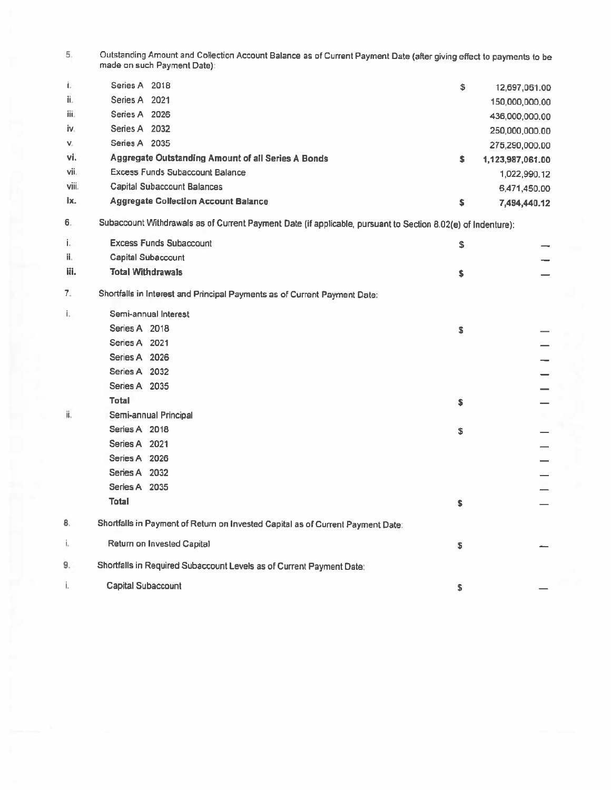5 Outstanding Amount and Collection Account Balance as of Current Payment Date (after giving effect to payments to be made on such Payment Date)

| Ĺ.    | Series A 2018                                      | \$ | 12,697,061.00    |
|-------|----------------------------------------------------|----|------------------|
| ii.   | Series A 2021                                      |    | 150,000,000,00   |
| iii.  | Series A 2026                                      |    | 436,000,000.00   |
| iv.   | Series A 2032                                      |    | 250,000,000.00   |
| V.    | Series A 2035                                      |    | 275,290,000.00   |
| vi.   | Aggregate Outstanding Amount of all Series A Bonds | s  | 1,123,987,061.00 |
| vii.  | Excess Funds Subaccount Balance                    |    | 1,022,990.12     |
| viii. | Capital Subaccount Balances                        |    | 6,471,450.00     |
| ix.   | <b>Aggregate Collection Account Balance</b>        | S  | 7,494,440.12     |

6. Subaccount Withdrawals as of Current Payment Date (if applicable, pursuant to Section 8.02(e) of Indenture):

| j,   | <b>Excess Funds Subaccount</b>                                                  | \$ |  |
|------|---------------------------------------------------------------------------------|----|--|
| ii.  | Capital Subaccount                                                              |    |  |
| iii. | <b>Total Withdrawals</b>                                                        | \$ |  |
| 7.   | Shortfalls in Interest and Principal Payments as of Current Payment Date:       |    |  |
| i.   | Semi-annual Interest                                                            |    |  |
|      | Series A 2018                                                                   | s  |  |
|      | Series A 2021                                                                   |    |  |
|      | Series A 2026                                                                   |    |  |
|      | Series A 2032                                                                   |    |  |
|      | Series A 2035                                                                   |    |  |
|      | Total                                                                           | s  |  |
| ii.  | Semi-annual Principal                                                           |    |  |
|      | Series A 2018                                                                   | \$ |  |
|      | Series A 2021                                                                   |    |  |
|      | Series A 2026                                                                   |    |  |
|      | Series A 2032                                                                   |    |  |
|      | Series A 2035                                                                   |    |  |
|      | <b>Total</b>                                                                    | \$ |  |
| 8.   | Shortfalls in Payment of Return on Invested Capital as of Current Payment Date: |    |  |
| ï.   | Return on Invested Capital                                                      | s  |  |
| 9.   | Shortfalls in Required Subaccount Levels as of Current Payment Date:            |    |  |
| i.   | Capital Subaccount                                                              | \$ |  |